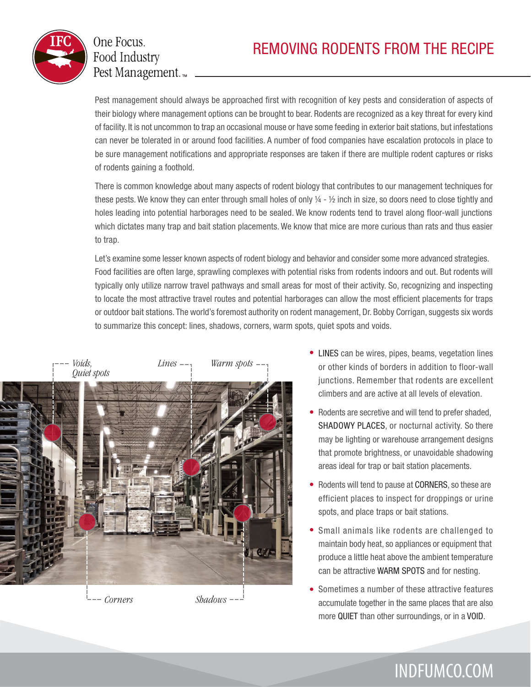

## One Focus. **Food Industry** Pest Management.<sub>™</sub>

Pest management should always be approached first with recognition of key pests and consideration of aspects of their biology where management options can be brought to bear. Rodents are recognized as a key threat for every kind of facility. It is not uncommon to trap an occasional mouse or have some feeding in exterior bait stations, but infestations can never be tolerated in or around food facilities. A number of food companies have escalation protocols in place to be sure management notifications and appropriate responses are taken if there are multiple rodent captures or risks of rodents gaining a foothold.

There is common knowledge about many aspects of rodent biology that contributes to our management techniques for these pests. We know they can enter through small holes of only  $\frac{1}{4}$  -  $\frac{1}{2}$  inch in size, so doors need to close tightly and holes leading into potential harborages need to be sealed. We know rodents tend to travel along floor-wall junctions which dictates many trap and bait station placements. We know that mice are more curious than rats and thus easier to trap.

Let's examine some lesser known aspects of rodent biology and behavior and consider some more advanced strategies. Food facilities are often large, sprawling complexes with potential risks from rodents indoors and out. But rodents will typically only utilize narrow travel pathways and small areas for most of their activity. So, recognizing and inspecting to locate the most attractive travel routes and potential harborages can allow the most efficient placements for traps or outdoor bait stations. The world's foremost authority on rodent management, Dr. Bobby Corrigan, suggests six words to summarize this concept: lines, shadows, corners, warm spots, quiet spots and voids.



*Corners Shadows*

- LINES can be wires, pipes, beams, vegetation lines or other kinds of borders in addition to floor-wall junctions. Remember that rodents are excellent climbers and are active at all levels of elevation.
- Rodents are secretive and will tend to prefer shaded, SHADOWY PLACES, or nocturnal activity. So there may be lighting or warehouse arrangement designs that promote brightness, or unavoidable shadowing areas ideal for trap or bait station placements.
- Rodents will tend to pause at CORNERS, so these are efficient places to inspect for droppings or urine spots, and place traps or bait stations. •
- Small animals like rodents are challenged to maintain body heat, so appliances or equipment that produce a little heat above the ambient temperature can be attractive WARM SPOTS and for nesting. •
- Sometimes a number of these attractive features accumulate together in the same places that are also more QUIET than other surroundings, or in a VOID. •

INDFUMCO.COM